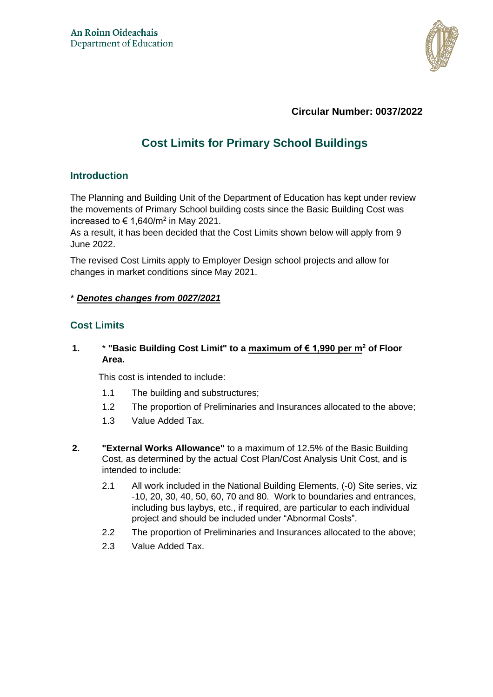

## **Circular Number: 0037/2022**

# **Cost Limits for Primary School Buildings**

#### **Introduction**

The Planning and Building Unit of the Department of Education has kept under review the movements of Primary School building costs since the Basic Building Cost was increased to € 1,640/m<sup>2</sup> in May 2021.

As a result, it has been decided that the Cost Limits shown below will apply from 9 June 2022.

The revised Cost Limits apply to Employer Design school projects and allow for changes in market conditions since May 2021.

#### \* *Denotes changes from 0027/2021*

## **Cost Limits**

#### **1.** \* **"Basic Building Cost Limit" to a maximum of € 1,990 per m<sup>2</sup> of Floor Area.**

This cost is intended to include:

- 1.1 The building and substructures;
- 1.2 The proportion of Preliminaries and Insurances allocated to the above;
- 1.3 Value Added Tax.
- **2. "External Works Allowance"** to a maximum of 12.5% of the Basic Building Cost, as determined by the actual Cost Plan/Cost Analysis Unit Cost, and is intended to include:
	- 2.1 All work included in the National Building Elements, (-0) Site series, viz -10, 20, 30, 40, 50, 60, 70 and 80. Work to boundaries and entrances, including bus laybys, etc., if required, are particular to each individual project and should be included under "Abnormal Costs".
	- 2.2 The proportion of Preliminaries and Insurances allocated to the above;
	- 2.3 Value Added Tax.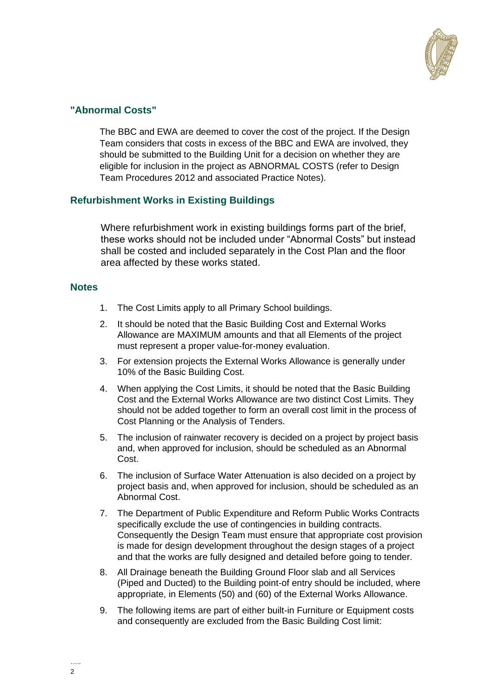

## **"Abnormal Costs"**

The BBC and EWA are deemed to cover the cost of the project. If the Design Team considers that costs in excess of the BBC and EWA are involved, they should be submitted to the Building Unit for a decision on whether they are eligible for inclusion in the project as ABNORMAL COSTS (refer to Design Team Procedures 2012 and associated Practice Notes).

## **Refurbishment Works in Existing Buildings**

Where refurbishment work in existing buildings forms part of the brief, these works should not be included under "Abnormal Costs" but instead shall be costed and included separately in the Cost Plan and the floor area affected by these works stated.

#### **Notes**

- 1. The Cost Limits apply to all Primary School buildings.
- 2. It should be noted that the Basic Building Cost and External Works Allowance are MAXIMUM amounts and that all Elements of the project must represent a proper value-for-money evaluation.
- 3. For extension projects the External Works Allowance is generally under 10% of the Basic Building Cost.
- 4. When applying the Cost Limits, it should be noted that the Basic Building Cost and the External Works Allowance are two distinct Cost Limits. They should not be added together to form an overall cost limit in the process of Cost Planning or the Analysis of Tenders.
- 5. The inclusion of rainwater recovery is decided on a project by project basis and, when approved for inclusion, should be scheduled as an Abnormal Cost.
- 6. The inclusion of Surface Water Attenuation is also decided on a project by project basis and, when approved for inclusion, should be scheduled as an Abnormal Cost.
- 7. The Department of Public Expenditure and Reform Public Works Contracts specifically exclude the use of contingencies in building contracts. Consequently the Design Team must ensure that appropriate cost provision is made for design development throughout the design stages of a project and that the works are fully designed and detailed before going to tender.
- 8. All Drainage beneath the Building Ground Floor slab and all Services (Piped and Ducted) to the Building point-of entry should be included, where appropriate, in Elements (50) and (60) of the External Works Allowance.
- 9. The following items are part of either built-in Furniture or Equipment costs and consequently are excluded from the Basic Building Cost limit: